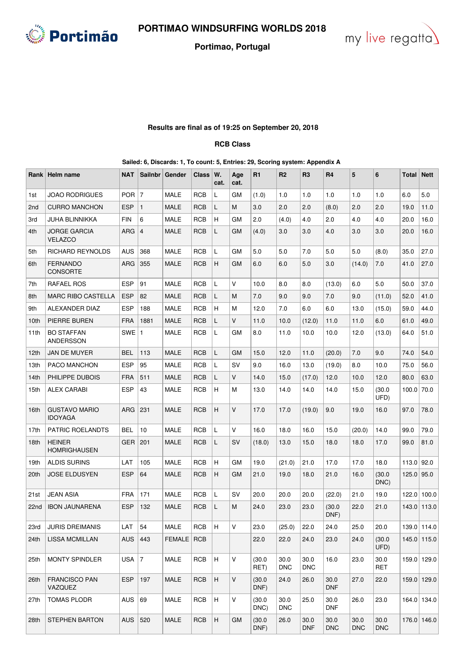

## **Portimao, Portugal**



## **Results are final as of 19:25 on September 20, 2018**

## **RCB Class**

**Sailed: 6, Discards: 1, To count: 5, Entries: 29, Scoring system: Appendix A**

|                 | Rank   Helm name                       | <b>NAT</b> | <b>Sailnbr</b> | Gender      | Class      | W.<br>cat.                | Age<br>cat.  | R1             | R <sub>2</sub>     | R <sub>3</sub>     | R <sub>4</sub>     | 5                  | 6                  | Total        | <b>Nett</b>   |
|-----------------|----------------------------------------|------------|----------------|-------------|------------|---------------------------|--------------|----------------|--------------------|--------------------|--------------------|--------------------|--------------------|--------------|---------------|
| 1st             | <b>JOAO RODRIGUES</b>                  | <b>POR</b> | $\overline{7}$ | <b>MALE</b> | <b>RCB</b> | L                         | GM           | (1.0)          | 1.0                | 1.0                | 1.0                | 1.0                | 1.0                | 6.0          | 5.0           |
| 2 <sub>nd</sub> | <b>CURRO MANCHON</b>                   | <b>ESP</b> | $\mathbf{1}$   | MALE        | <b>RCB</b> | L                         | М            | 3.0            | 2.0                | 2.0                | (8.0)              | 2.0                | 2.0                | 19.0         | 11.0          |
| 3rd             | <b>JUHA BLINNIKKA</b>                  | <b>FIN</b> | 6              | <b>MALE</b> | RCB        | H                         | GМ           | 2.0            | (4.0)              | 4.0                | 2.0                | 4.0                | 4.0                | 20.0         | 16.0          |
| 4th             | <b>JORGE GARCIA</b><br><b>VELAZCO</b>  | <b>ARG</b> | 4              | MALE        | <b>RCB</b> | L                         | GМ           | (4.0)          | 3.0                | 3.0                | 4.0                | 3.0                | 3.0                | 20.0         | 16.0          |
| 5th             | <b>RICHARD REYNOLDS</b>                | AUS        | 368            | MALE        | <b>RCB</b> | L                         | GМ           | 5.0            | 5.0                | 7.0                | 5.0                | 5.0                | (8.0)              | 35.0         | 27.0          |
| 6th             | <b>FERNANDO</b><br><b>CONSORTE</b>     | ARG        | 355            | MALE        | <b>RCB</b> | H                         | GМ           | 6.0            | 6.0                | 5.0                | 3.0                | (14.0)             | 7.0                | 41.0         | 27.0          |
| 7th             | <b>RAFAEL ROS</b>                      | <b>ESP</b> | 91             | <b>MALE</b> | <b>RCB</b> | L                         | V            | 10.0           | 8.0                | 8.0                | (13.0)             | 6.0                | 5.0                | 50.0         | 37.0          |
| 8th             | <b>MARC RIBO CASTELLA</b>              | <b>ESP</b> | 82             | MALE        | <b>RCB</b> | L                         | M            | 7.0            | 9.0                | 9.0                | 7.0                | 9.0                | (11.0)             | 52.0         | 41.0          |
| 9th             | ALEXANDER DIAZ                         | <b>ESP</b> | 188            | MALE        | <b>RCB</b> | H                         | M            | 12.0           | 7.0                | 6.0                | 6.0                | 13.0               | (15.0)             | 59.0         | 44.0          |
| 10th            | PIERRE BUREN                           | <b>FRA</b> | 1881           | MALE        | <b>RCB</b> | L                         | $\vee$       | 11.0           | 10.0               | (12.0)             | 11.0               | 11.0               | 6.0                | 61.0         | 49.0          |
| 11th            | <b>BO STAFFAN</b><br>ANDERSSON         | SWE        | $\mathbf{1}$   | MALE        | <b>RCB</b> | L                         | GМ           | 8.0            | 11.0               | 10.0               | 10.0               | 12.0               | (13.0)             | 64.0         | 51.0          |
| 12th            | JAN DE MUYER                           | <b>BEL</b> | 113            | MALE        | <b>RCB</b> | L                         | <b>GM</b>    | 15.0           | 12.0               | 11.0               | (20.0)             | 7.0                | 9.0                | 74.0         | 54.0          |
| 13th            | PACO MANCHON                           | <b>ESP</b> | 95             | MALE        | RCB        | L                         | SV           | 9.0            | 16.0               | 13.0               | (19.0)             | 8.0                | 10.0               | 75.0         | 56.0          |
| 14th            | PHILIPPE DUBOIS                        | <b>FRA</b> | 511            | MALE        | <b>RCB</b> | L                         | V            | 14.0           | 15.0               | (17.0)             | 12.0               | 10.0               | 12.0               | 80.0         | 63.0          |
| 15th            | ALEX CARABI                            | <b>ESP</b> | 43             | MALE        | <b>RCB</b> | H                         | M            | 13.0           | 14.0               | 14.0               | 14.0               | 15.0               | (30.0)<br>UFD)     | 100.0        | 70.0          |
| 16th            | <b>GUSTAVO MARIO</b><br><b>IDOYAGA</b> | <b>ARG</b> | 231            | MALE        | <b>RCB</b> | H                         | $\vee$       | 17.0           | 17.0               | (19.0)             | 9.0                | 19.0               | 16.0               | 97.0         | 78.0          |
| 17th            | PATRIC ROELANDTS                       | BEL        | 10             | MALE        | <b>RCB</b> | L                         | V            | 16.0           | 18.0               | 16.0               | 15.0               | (20.0)             | 14.0               | 99.0         | 79.0          |
| 18th            | <b>HEINER</b><br><b>HOMRIGHAUSEN</b>   | <b>GER</b> | 201            | MALE        | <b>RCB</b> | L                         | SV           | (18.0)         | 13.0               | 15.0               | 18.0               | 18.0               | 17.0               | 99.0         | 81.0          |
| 19th            | <b>ALDIS SURINS</b>                    | LAT        | 105            | <b>MALE</b> | <b>RCB</b> | H                         | GМ           | 19.0           | (21.0)             | 21.0               | 17.0               | 17.0               | 18.0               | $113.0$ 92.0 |               |
| 20th            | <b>JOSE ELDUSYEN</b>                   | <b>ESP</b> | 64             | MALE        | <b>RCB</b> | H                         | GМ           | 21.0           | 19.0               | 18.0               | 21.0               | 16.0               | (30.0)<br>DNC)     | 125.0 95.0   |               |
| 21st            | <b>JEAN ASIA</b>                       | <b>FRA</b> | 171            | MALE        | <b>RCB</b> | L                         | S٧           | 20.0           | 20.0               | 20.0               | (22.0)             | 21.0               | 19.0               | 122.0        | 100.0         |
| 22nd            | <b>IBON JAUNARENA</b>                  | <b>ESP</b> | 132            | MALE        | <b>RCB</b> | L                         | М            | 24.0           | 23.0               | 23.0               | (30.0)<br>DNF)     | 22.0               | 21.0               |              | $143.0$ 113.0 |
| 23rd            | <b>JURIS DREIMANIS</b>                 | LAT        | 54             | MALE        | <b>RCB</b> | H                         | V            | 23.0           | (25.0)             | 22.0               | 24.0               | 25.0               | 20.0               |              | 139.0 114.0   |
| 24th            | <b>LISSA MCMILLAN</b>                  | <b>AUS</b> | 443            | FEMALE RCB  |            |                           |              | 22.0           | 22.0               | 24.0               | 23.0               | 24.0               | (30.0)<br>UFD)     |              | 145.0 115.0   |
| 25th            | <b>MONTY SPINDLER</b>                  | USA $ 7$   |                | <b>MALE</b> | RCB        | H                         | $\mathsf V$  | (30.0)<br>RET) | 30.0<br><b>DNC</b> | 30.0<br><b>DNC</b> | 16.0               | 23.0               | 30.0<br>RET        |              | 159.0 129.0   |
| 26th            | <b>FRANCISCO PAN</b><br>VAZQUEZ        | <b>ESP</b> | 197            | <b>MALE</b> | RCB        | $\boldsymbol{\mathsf{H}}$ | $\mathsf{V}$ | (30.0)<br>DNF) | 24.0               | 26.0               | 30.0<br><b>DNF</b> | 27.0               | 22.0               |              | 159.0 129.0   |
| 27th            | <b>TOMAS PLODR</b>                     | <b>AUS</b> | 69             | <b>MALE</b> | <b>RCB</b> | H                         | $\vee$       | (30.0)<br>DNC) | 30.0<br><b>DNC</b> | 25.0               | 30.0<br><b>DNF</b> | 26.0               | 23.0               |              | 164.0 134.0   |
| 28th            | <b>STEPHEN BARTON</b>                  | <b>AUS</b> | 520            | MALE        | <b>RCB</b> | H                         | GМ           | (30.0)<br>DNF) | 26.0               | 30.0<br><b>DNF</b> | 30.0<br><b>DNC</b> | 30.0<br><b>DNC</b> | 30.0<br><b>DNC</b> |              | 176.0 146.0   |